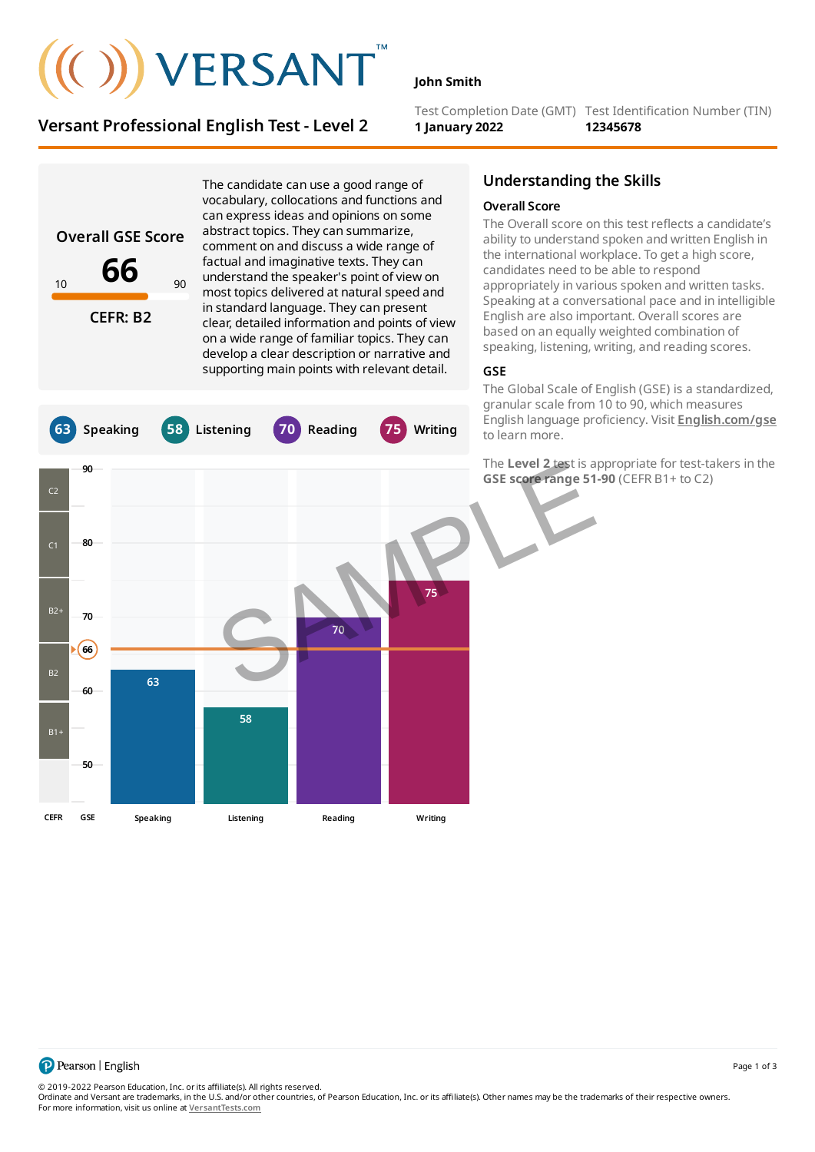# $(())$  VERSANT

The candidate can use a good range of vocabulary, collocations and functions and

## **Versant Professional English Test - Level 2**

**John Smith**

Test Completion Date (GMT) Test Identification Number (TIN) **1 January 2022 12345678**

**Overall GSE Score 66 CEFR: B2** can express ideas and opinions on some abstract topics. They can summarize, comment on and discuss a wide range of factual and imaginative texts. They can understand the speaker's point of view on most topics delivered at natural speed and in standard language. They can present clear, detailed information and points of view on a wide range of familiar topics. They can develop a clear description or narrative and supporting main points with relevant detail. **63 Speaking 58 Listening 70 Reading 75 Writing** C2  $C<sub>1</sub>$  $B2$ B2  $B1+$ **50 60 70 80 90 Speaking Listening Reading Writing 66 63 58 70 75 CEFR GSE** 10 90 The Level 2 test is a<br>GSE score range 51<br>The Level 2 test is a<br>GSE score range 51

## **Understanding the Skills**

#### **Overall Score**

The Overall score on this test reflects a candidate's ability to understand spoken and written English in the international workplace. To get a high score, candidates need to be able to respond appropriately in various spoken and written tasks. Speaking at a conversational pace and in intelligible English are also important. Overall scores are based on an equally weighted combination of speaking, listening, writing, and reading scores.

### **GSE**

The Global Scale of English (GSE) is a standardized, granular scale from 10 to 90, which measures English language proficiency. Visit **[English.com/gse](http://english.com/gse)** to learn more.

The **Level 2** test is appropriate for test-takers in the **GSE score range 51-90** (CEFR B1+ to C2)

Page 1 of 3

© 2019-2022 Pearson Education, Inc. or its affiliate(s). All rights reserved.

Ordinate and Versant are trademarks, in the U.S. and/or other countries, of Pearson Education, Inc. or its affiliate(s). Other names may be the trademarks of their respective owners. For more information, visit us online at **[VersantTests.com](https://www.versanttests.com/)**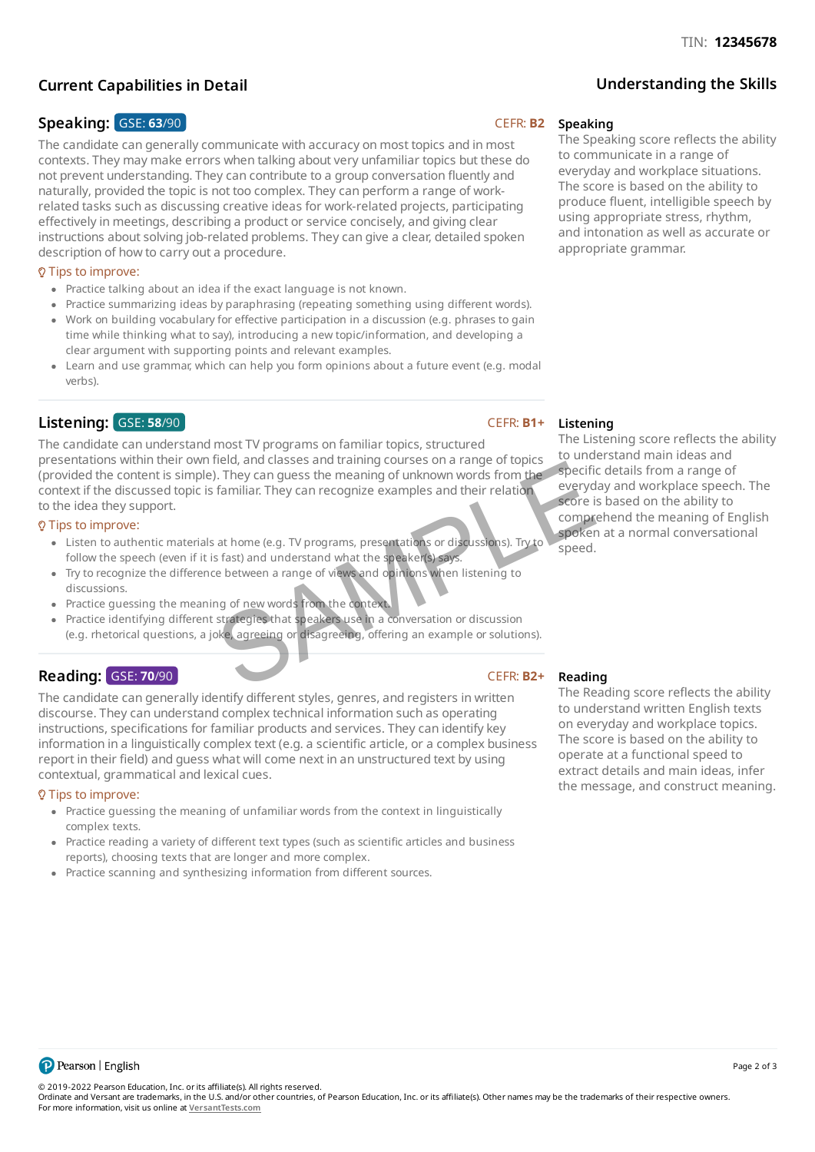## **Current Capabilities in Detail**

## **Speaking:**  $GSE: 63/90$  **CEFR: B2**

The candidate can generally communicate with accuracy on most topics and in most contexts. They may make errors when talking about very unfamiliar topics but these do not prevent understanding. They can contribute to a group conversation fluently and naturally, provided the topic is not too complex. They can perform a range of workrelated tasks such as discussing creative ideas for work-related projects, participating effectively in meetings, describing a product or service concisely, and giving clear instructions about solving job-related problems. They can give a clear, detailed spoken description of how to carry out a procedure.

## Tips to improve:

- Practice talking about an idea if the exact language is not known.
- Practice summarizing ideas by paraphrasing (repeating something using different words).
- Work on building vocabulary for effective participation in a discussion (e.g. phrases to gain time while thinking what to say), introducing a new topic/information, and developing a clear argument with supporting points and relevant examples.
- Learn and use grammar, which can help you form opinions about a future event (e.g. modal verbs).

## **Listening:**  $GSE: 58/90$  CEFR: **B1+**

The candidate can understand most TV programs on familiar topics, structured presentations within their own field, and classes and training courses on a range of topics (provided the content is simple). They can guess the meaning of unknown words from the context if the discussed topic is familiar. They can recognize examples and their relation to the idea they support. The cases and data and goodses on a range of optics.<br>
They can guess the meaning of unknown words from the specific<br>
familiar. They can recognize examples and their relation<br>
score is<br>
stated and understand what the speake

#### $Q$  Tips to improve:

- Listen to authentic materials at home (e.g. TV programs, presentations or discussions). Try to follow the speech (even if it is fast) and understand what the speaker(s) says.
- Try to recognize the difference between a range of views and opinions when listening to discussions.
- Practice guessing the meaning of new words from the context.
- Practice identifying different strategies that speakers use in a conversation or discussion (e.g. rhetorical questions, a joke, agreeing or disagreeing, offering an example or solutions).

## **Reading: GSE: 70/90** CEFR: **B2+**

The candidate can generally identify different styles, genres, and registers in written discourse. They can understand complex technical information such as operating instructions, specifications for familiar products and services. They can identify key information in a linguistically complex text (e.g. a scientific article, or a complex business report in their field) and guess what will come next in an unstructured text by using contextual, grammatical and lexical cues.

#### $Q$  Tips to improve:

- Practice guessing the meaning of unfamiliar words from the context in linguistically complex texts.
- Practice reading a variety of different text types (such as scientific articles and business reports), choosing texts that are longer and more complex.
- Practice scanning and synthesizing information from different sources.

#### **Speaking**

The Speaking score reflects the ability to communicate in a range of everyday and workplace situations. The score is based on the ability to produce fluent, intelligible speech by using appropriate stress, rhythm, and intonation as well as accurate or appropriate grammar.

**Understanding the Skills**

### **Listening**

The Listening score reflects the ability to understand main ideas and specific details from a range of everyday and workplace speech. The score is based on the ability to comprehend the meaning of English spoken at a normal conversational speed.

## **Reading**

The Reading score reflects the ability to understand written English texts on everyday and workplace topics. The score is based on the ability to operate at a functional speed to extract details and main ideas, infer the message, and construct meaning.



© 2019-2022 Pearson Education, Inc. or its affiliate(s). All rights reserved.

Ordinate and Versant are trademarks, in the U.S. and/or other countries, of Pearson Education, Inc. or its affiliate(s). Other names may be the trademarks of their respective owners. For more information, visit us online at **[VersantTests.com](https://www.versanttests.com/)**